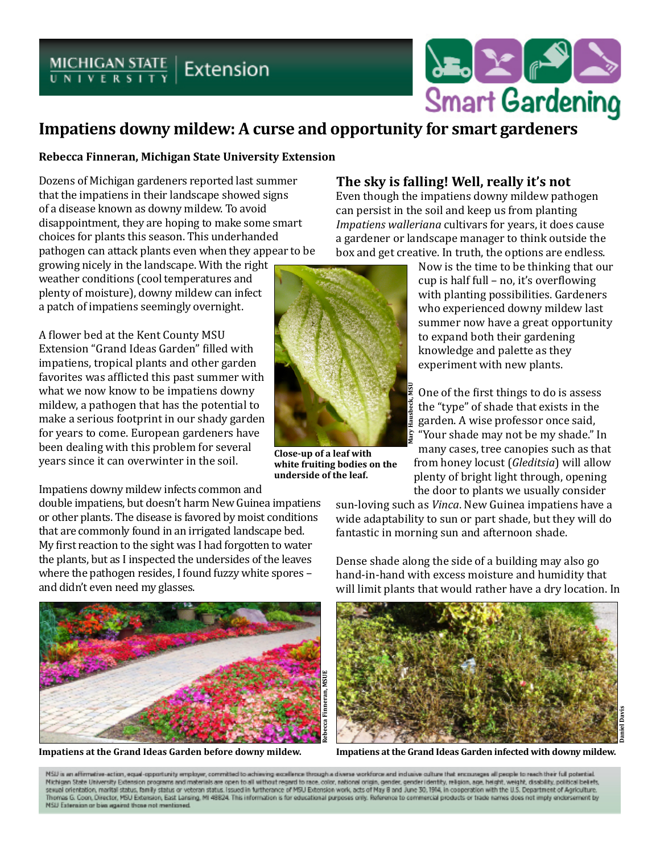# $MICHIGAN STATE$  Extension



## **Impatiens downy mildew: A curse and opportunity for smart gardeners**

#### **Rebecca Finneran, Michigan State University Extension**

Dozens of Michigan gardeners reported last summer that the impatiens in their landscape showed signs of a disease known as downy mildew. To avoid disappointment, they are hoping to make some smart choices for plants this season. This underhanded pathogen can attack plants even when they appear to be

growing nicely in the landscape. With the right weather conditions (cool temperatures and plenty of moisture), downy mildew can infect a patch of impatiens seemingly overnight.

A flower bed at the Kent County MSU Extension "Grand Ideas Garden" filled with impatiens, tropical plants and other garden favorites was afflicted this past summer with what we now know to be impatiens downy mildew, a pathogen that has the potential to make a serious footprint in our shady garden for years to come. European gardeners have been dealing with this problem for several years since it can overwinter in the soil.

Impatiens downy mildew infects common and

double impatiens, but doesn't harm New Guinea impatiens or other plants. The disease is favored by moist conditions that are commonly found in an irrigated landscape bed. My first reaction to the sight was I had forgotten to water the plants, but as I inspected the undersides of the leaves where the pathogen resides, I found fuzzy white spores – and didn't even need my glasses.



#### **The sky is falling! Well, really it's not**

Even though the impatiens downy mildew pathogen can persist in the soil and keep us from planting *Impatiens walleriana* cultivars for years, it does cause a gardener or landscape manager to think outside the box and get creative. In truth, the options are endless.



**Close-up of a leaf with white fruiting bodies on the underside of the leaf.** 

Now is the time to be thinking that our cup is half full – no, it's overflowing with planting possibilities. Gardeners who experienced downy mildew last summer now have a great opportunity to expand both their gardening knowledge and palette as they experiment with new plants.

One of the first things to do is assess the "type" of shade that exists in the garden. A wise professor once said, "Your shade may not be my shade." In many cases, tree canopies such as that from honey locust (*Gleditsia*) will allow plenty of bright light through, opening the door to plants we usually consider

sun-loving such as *Vinca*. New Guinea impatiens have a wide adaptability to sun or part shade, but they will do fantastic in morning sun and afternoon shade.

Dense shade along the side of a building may also go hand-in-hand with excess moisture and humidity that will limit plants that would rather have a dry location. In



NSU is an affirmative-action, equal-opportunity employer, committed to achieving excellence through a diverse workforce and inclusive culture that encourages all people to reach their full potential Michigan State University Extension programs and materials are open to all without regard to race, color, national origin, gender, gender identity, religion, age, height, weight, disability, political beliefs,<br>sexual orien Thomas G. Coon, Director, MSU Extension, East Lansing, MI 48824. This information is for educational purposes only. Reference to commercial products or trade names does not imply enclorsement by NSU Externion or bim against those not mentioned.

**Daniel Davis**